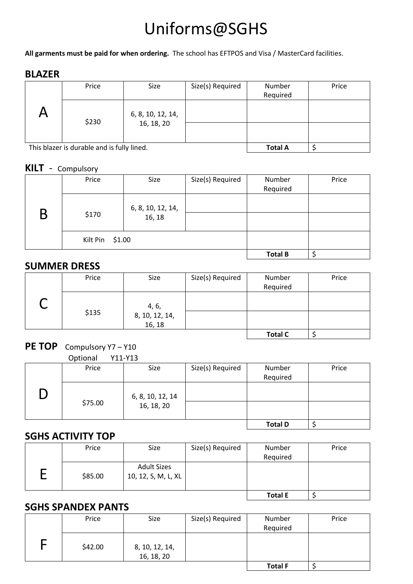# Uniforms@SGHS

**All garments must be paid for when ordering.** The school has EFTPOS and Visa / MasterCard facilities.

#### **BLAZER**

|  | Price                                      | Size                            | Size(s) Required | Number<br>Required | Price |
|--|--------------------------------------------|---------------------------------|------------------|--------------------|-------|
|  | \$230                                      | 6, 8, 10, 12, 14,<br>16, 18, 20 |                  |                    |       |
|  |                                            |                                 |                  |                    |       |
|  | This blazer is durable and is fully lined. | <b>Total A</b>                  |                  |                    |       |

#### **KILT** - Compulsory

|   | Price              | Size                        | Size(s) Required | Number<br>Required | Price |
|---|--------------------|-----------------------------|------------------|--------------------|-------|
| Β | \$170              | 6, 8, 10, 12, 14,<br>16, 18 |                  |                    |       |
|   | \$1.00<br>Kilt Pin |                             |                  |                    |       |
|   |                    |                             |                  | <b>Total B</b>     | c     |

#### **SUMMER DRESS**

| Price | Size                     | Size(s) Required | Number<br>Required | Price |
|-------|--------------------------|------------------|--------------------|-------|
|       | 4, 6,                    |                  |                    |       |
| \$135 | 8, 10, 12, 14,<br>16, 18 |                  |                    |       |
|       |                          |                  | <b>Total C</b>     |       |

# PE TOP Compulsory Y7-Y10

Optional Y11-Y13

| -------- |                  |                  |                |       |
|----------|------------------|------------------|----------------|-------|
| Price    | Size             | Size(s) Required | Number         | Price |
|          |                  |                  | Required       |       |
|          | 6, 8, 10, 12, 14 |                  |                |       |
| \$75.00  | 16, 18, 20       |                  |                |       |
|          |                  |                  | <b>Total D</b> |       |

#### **SGHS ACTIVITY TOP**

| Price   | Size                                      | Size(s) Required | Number         | Price |
|---------|-------------------------------------------|------------------|----------------|-------|
|         |                                           |                  | Required       |       |
| \$85.00 | <b>Adult Sizes</b><br>10, 12, S, M, L, XL |                  |                |       |
|         |                                           |                  | <b>Total E</b> |       |

### **SGHS SPANDEX PANTS**

| Price   | Size                         | Size(s) Required | Number         | Price |
|---------|------------------------------|------------------|----------------|-------|
|         |                              |                  | Required       |       |
| \$42.00 | 8, 10, 12, 14,<br>16, 18, 20 |                  |                |       |
|         |                              |                  | <b>Total F</b> |       |